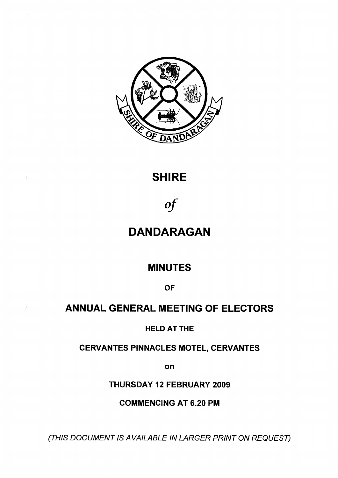

# **SHIRE**

*of*

# **DANDARAGAN**

# **MINUTES**

**OF**

# **ANNUAL GENERAL MEETING OF ELECTORS**

# **HELD AT THE**

# **CERVANTES PINNACLES MOTEL, CERVANTES**

**on**

**THURSDAY 12 FEBRUARY 2009**

**COMMENCING AT 6.20 PM**

*(THIS DOCUMENT IS A VAILABLE IN LARGER PRINT ON REQUEST)*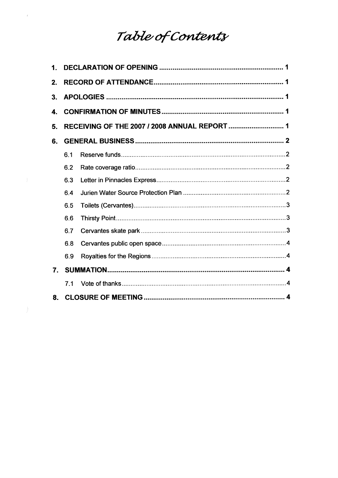# Table of Contents

 $\ell$ 

 $\label{eq:2.1} \int_{\mathbb{R}^d} \left| \frac{1}{\lambda} \, \mathcal{L} \left( \mathcal{L} \right) \right| \, d\mu = \int_{\mathbb{R}^d} \left| \frac{1}{\lambda} \, \mathcal{L} \left( \mathcal{L} \right) \right| \, d\mu = \int_{\mathbb{R}^d} \left| \frac{1}{\lambda} \, \mathcal{L} \left( \mathcal{L} \right) \right| \, d\mu = \int_{\mathbb{R}^d} \left| \frac{1}{\lambda} \, \mathcal{L} \left( \mathcal{L} \right) \right| \, d\mu = \int_{$ 

| $\mathbf 1$ .    |     |  |  |
|------------------|-----|--|--|
| 2.               |     |  |  |
| 3.               |     |  |  |
| 4.               |     |  |  |
| 5.               |     |  |  |
| 6.               |     |  |  |
|                  | 6.1 |  |  |
|                  | 6.2 |  |  |
|                  | 6.3 |  |  |
|                  | 6.4 |  |  |
|                  | 6.5 |  |  |
|                  | 6.6 |  |  |
|                  | 6.7 |  |  |
|                  | 6.8 |  |  |
|                  | 6.9 |  |  |
| $\overline{7}$ . |     |  |  |
|                  | 71  |  |  |
| 8.               |     |  |  |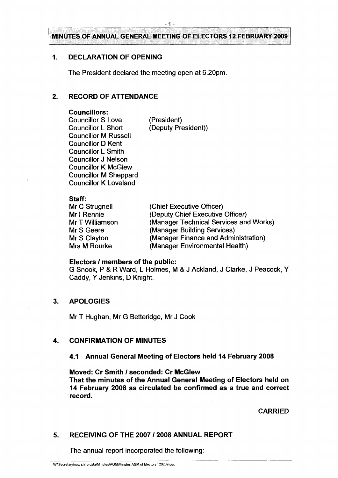# <span id="page-2-0"></span>**1. DECLARATION OF OPENING**

The President declared the meeting open at 6.20pm.

# <span id="page-2-1"></span>**2. RECORD OF ATTENDANCE**

#### **Councillors:**

Councillor S Love (President)<br>
Councillor L Short (Deputy Pre Councillor M Russell Councillor D Kent Councillor L Smith Councillor J Nelson Councillor K McGlew Councillor M Sheppard Councillor K Loveland

(Deputy President))

#### **Staff:**

| (Chief Executive Officer)              |
|----------------------------------------|
| (Deputy Chief Executive Officer)       |
| (Manager Technical Services and Works) |
| (Manager Building Services)            |
| (Manager Finance and Administration)   |
| (Manager Environmental Health)         |
|                                        |

#### **Electors / members of the public:**

G Snook, P & R Ward, L Holmes, M & J Ackland, J Clarke, J Peacock, Y Caddy, Y Jenkins, D Knight.

# <span id="page-2-2"></span>**3. APOLOGIES**

Mr T Hughan, Mr G Betteridge, Mr J Cook

# <span id="page-2-3"></span>**4. CONFIRMATION OF MINUTES**

# **4.1 Annual General Meeting of Electors held 14 February 2008**

**Moved: Cr Smith / seconded: Cr McGlew That the minutes of the Annual General Meeting of Electors held on 14 February 2008 as circulated be confirmed as a true and correct record.**

# **CARRIED**

# <span id="page-2-4"></span>**5. RECEIVING OF THE 2007 / 2008 ANNUAL REPORT**

The annual report incorporated the following:

W:\Secretary\new shire data\Minutes\AGM\Minutes AGM of Electors 120209 doc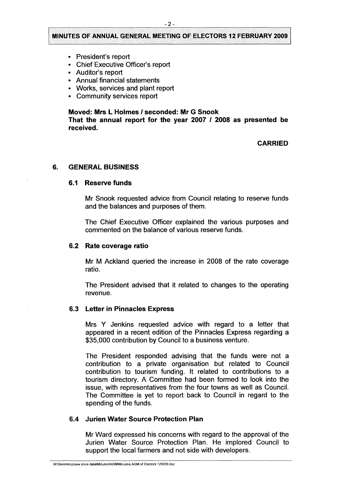- President's report
- Chief Executive Officer's report
- Auditor's report
- Annual financial statements
- Works, services and plant report
- Community services report

#### **Moved: Mrs L Holmes / seconded: Mr G Snook**

**That the annual report for the year 2007 / 2008 as presented be received.**

#### **CARRIED**

#### <span id="page-3-1"></span><span id="page-3-0"></span>**6. GENERAL BUSINESS**

#### **6.1 Reserve funds**

Mr Snook requested advice from Council relating to reserve funds and the balances and purposes of them.

The Chief Executive Officer explained the various purposes and commented on the balance of various reserve funds.

#### <span id="page-3-2"></span>**6.2 Rate coverage ratio**

Mr M Ackland queried the increase in 2008 of the rate coverage ratio.

The President advised that it related to changes to the operating revenue.

#### <span id="page-3-3"></span>**6.3 Letter in Pinnacles Express**

Mrs Y Jenkins requested advice with regard to a letter that appeared in a recent edition of the Pinnacles Express regarding a \$35,000 contribution by Council to a business venture.

The President responded advising that the funds were not a contribution to a private organisation but related to Council contribution to tourism funding. It related to contributions to a tourism directory. A Committee had been formed to look into the issue, with representatives from the four towns as well as Council. The Committee is yet to report back to Council in regard to the spending of the funds.

#### <span id="page-3-4"></span>**6.4 Jurien Water Source Protection Plan**

Mr Ward expressed his concerns with regard to the approval of the Jurien Water Source Protection Plan. He implored Council to support the local farmers and not side with developers.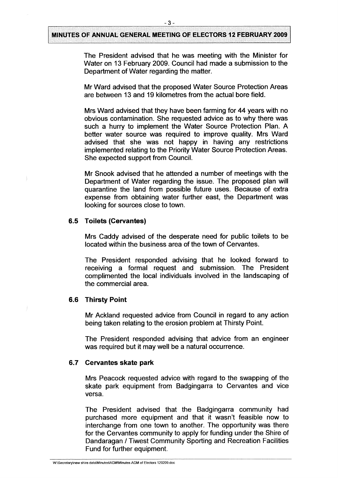The President advised that he was meeting with the Minister for Water on 13 February 2009. Council had made a submission to the Department of Water regarding the matter.

Mr Ward advised that the proposed Water Source Protection Areas are between 13 and 19 kilometres from the actual bore field.

Mrs Ward advised that they have been farming for 44 years with no obvious contamination. She requested advice as to why there was such a hurry to implement the Water Source Protection Plan. A better water source was required to improve quality. Mrs Ward advised that she was not happy in having any restrictions implemented relating to the Priority Water Source Protection Areas. She expected support from Council.

Mr Snook advised that he attended a number of meetings with the Department of Water regarding the issue. The proposed plan will quarantine the land from possible future uses. Because of extra expense from obtaining water further east, the Department was looking for sources close to town.

#### **6.5 Toilets (Cervantes)**

Mrs Caddy advised of the desperate need for public toilets to be located within the business area of the town of Cervantes.

The President responded advising that he looked forward to receiving a formal request and submission. The President complimented the local individuals involved in the landscaping of the commercial area.

#### **6.6 Thirsty Point**

Mr Ackland requested advice from Council in regard to any action being taken relating to the erosion problem at Thirsty Point.

The President responded advising that advice from an engineer was required but it may well be a natural occurrence.

#### **6.7 Cervantes skate park**

Mrs Peacock requested advice with regard to the swapping of the skate park equipment from Badgingarra to Cervantes and vice versa.

The President advised that the Badgingarra community had purchased more equipment and that it wasn't feasible now to interchange from one town to another. The opportunity was there for the Cervantes community to apply for funding under the Shire of Dandaragan / Tiwest Community Sporting and Recreation Facilities Fund for further equipment.